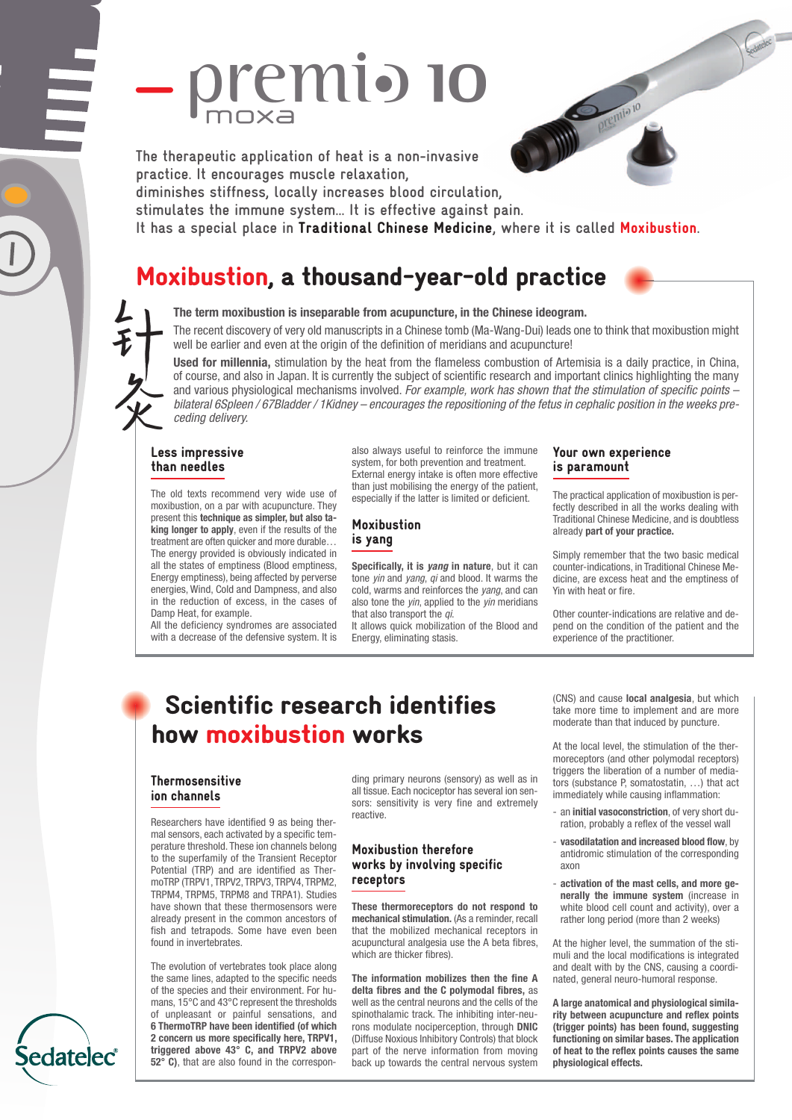# premio 10

**The therapeutic application of heat is a non-invasive practice. It encourages muscle relaxation,**

**diminishes stiffness, locally increases blood circulation,**

**stimulates the immune system… It is effective against pain.**

**It has a special place in** Traditional Chinese Medicine**, where it is called** Moxibustion**.**

## Moxibustion, a thousand-year-old practice



**The term moxibustion is inseparable from acupuncture, in the Chinese ideogram.**

The recent discovery of very old manuscripts in a Chinese tomb (Ma-Wang-Dui) leads one to think that moxibustion might well be earlier and even at the origin of the definition of meridians and acupuncture!

**Used for millennia,** stimulation by the heat from the flameless combustion of Artemisia is a daily practice, in China, of course, and also in Japan. It is currently the subject of scientific research and important clinics highlighting the many and various physiological mechanisms involved. *For example, work has shown that the stimulation of specific points –* bilateral 6Spleen / 67Bladder / 1Kidney – encourages the repositioning of the fetus in cephalic position in the weeks pre*ceding delivery.*

#### Less impressive than needles

The old texts recommend very wide use of moxibustion, on a par with acupuncture. They present this **technique as simpler, but also taking longer to apply**, even if the results of the treatment are often quicker and more durable… The energy provided is obviously indicated in all the states of emptiness (Blood emptiness, Energy emptiness), being affected by perverse energies, Wind, Cold and Dampness, and also in the reduction of excess, in the cases of Damp Heat, for example.

All the deficiency syndromes are associated with a decrease of the defensive system. It is also always useful to reinforce the immune system, for both prevention and treatment. External energy intake is often more effective than just mobilising the energy of the patient, especially if the latter is limited or deficient.

#### Moxibustion is yang

**Specifically, it is** *yang* **in nature**, but it can tone *yin* and *yang*, *qi* and blood. It warms the cold, warms and reinforces the *yang*, and can also tone the *yin*, applied to the *yin* meridians that also transport the *qi*.

It allows quick mobilization of the Blood and Energy, eliminating stasis.

#### Your own experience is paramount

The practical application of moxibustion is perfectly described in all the works dealing with Traditional Chinese Medicine, and is doubtless already **part of your practice.**

Simply remember that the two basic medical counter-indications, in Traditional Chinese Medicine, are excess heat and the emptiness of Yin with heat or fire.

Other counter-indications are relative and depend on the condition of the patient and the experience of the practitioner.

## Scientific research identifies how moxibustion works

#### **Thermosensitive** ion channels

Researchers have identified 9 as being thermal sensors, each activated by a specific temperature threshold. These ion channels belong to the superfamily of the Transient Receptor Potential (TRP) and are identified as ThermoTRP (TRPV1, TRPV2, TRPV3, TRPV4, TRPM2, TRPM4, TRPM5, TRPM8 and TRPA1). Studies have shown that these thermosensors were already present in the common ancestors of fish and tetrapods. Some have even been found in invertebrates.

The evolution of vertebrates took place along the same lines, adapted to the specific needs of the species and their environment. For humans, 15°C and 43°C represent the thresholds of unpleasant or painful sensations, and **6 ThermoTRP have been identified (of which 2 concern us more specifically here, TRPV1, triggered above 43° C, and TRPV2 above 52° C)**, that are also found in the corresponding primary neurons (sensory) as well as in all tissue. Each nociceptor has several ion sensors: sensitivity is very fine and extremely reactive.

#### Moxibustion therefore works by involving specific receptors

**These thermoreceptors do not respond to mechanical stimulation.** (As a reminder, recall that the mobilized mechanical receptors in acupunctural analgesia use the A beta fibres, which are thicker fibres).

**The information mobilizes then the fine A delta fibres and the C polymodal fibres,** as well as the central neurons and the cells of the spinothalamic track. The inhibiting inter-neurons modulate nociperception, through **DNIC** (Diffuse Noxious Inhibitory Controls) that block part of the nerve information from moving back up towards the central nervous system

(CNS) and cause **local analgesia**, but which take more time to implement and are more moderate than that induced by puncture.

At the local level, the stimulation of the thermoreceptors (and other polymodal receptors) triggers the liberation of a number of mediators (substance P, somatostatin, …) that act immediately while causing inflammation:

- an **initial vasoconstriction**, of very short duration, probably a reflex of the vessel wall
- **vasodilatation and increased blood flow**, by antidromic stimulation of the corresponding axon
- **activation of the mast cells, and more generally the immune system** (increase in white blood cell count and activity), over a rather long period (more than 2 weeks)

At the higher level, the summation of the stimuli and the local modifications is integrated and dealt with by the CNS, causing a coordinated, general neuro-humoral response.

**A large anatomical and physiological similarity between acupuncture and reflex points (trigger points) has been found, suggesting functioning on similar bases. The application of heat to the reflex points causes the same physiological effects.**

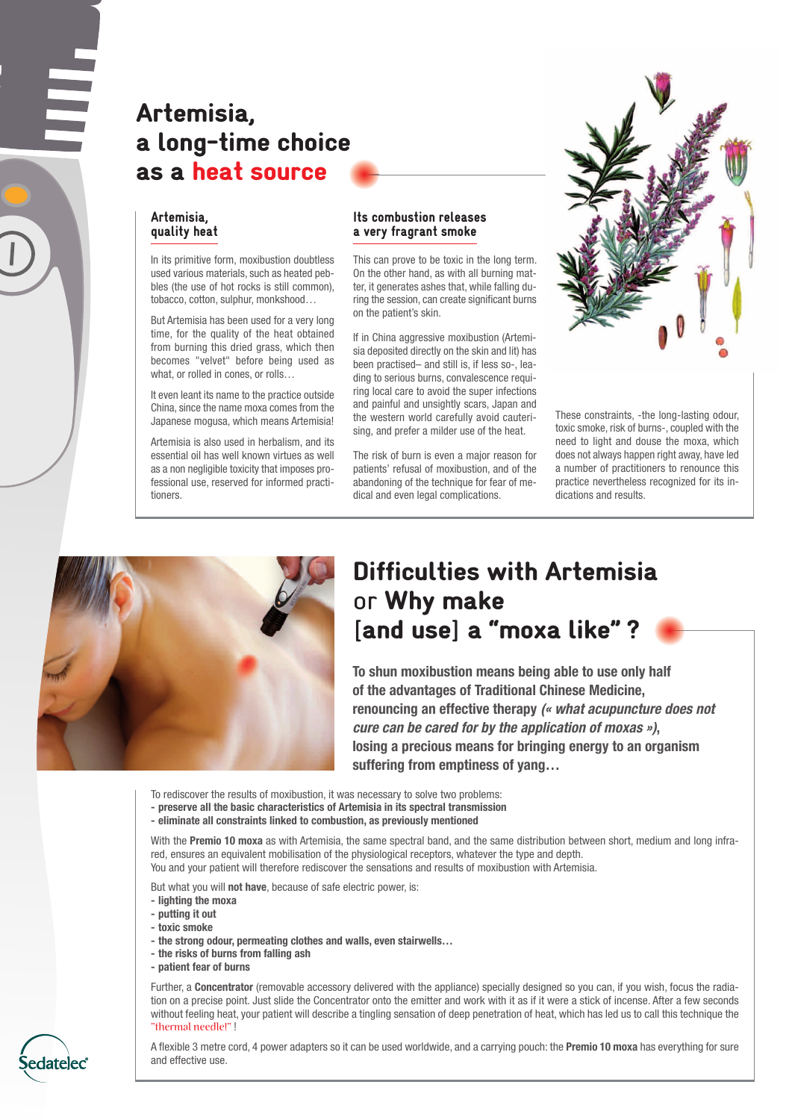## Artemisia, a long-time choice as a heat source

#### Artemisia, quality heat

In its primitive form, moxibustion doubtless used various materials, such as heated pebbles (the use of hot rocks is still common), tobacco, cotton, sulphur, monkshood…

But Artemisia has been used for a very long time, for the quality of the heat obtained from burning this dried grass, which then becomes "velvet" before being used as what, or rolled in cones, or rolls...

It even leant its name to the practice outside China, since the name moxa comes from the Japanese mogusa, which means Artemisia!

Artemisia is also used in herbalism, and its essential oil has well known virtues as well as a non negligible toxicity that imposes professional use, reserved for informed practitioners.

#### Its combustion releases a very fragrant smoke

This can prove to be toxic in the long term. On the other hand, as with all burning matter, it generates ashes that, while falling during the session, can create significant burns on the patient's skin.

If in China aggressive moxibustion (Artemisia deposited directly on the skin and lit) has been practised– and still is, if less so-, leading to serious burns, convalescence requiring local care to avoid the super infections and painful and unsightly scars, Japan and the western world carefully avoid cauterising, and prefer a milder use of the heat.

The risk of burn is even a major reason for patients' refusal of moxibustion, and of the abandoning of the technique for fear of medical and even legal complications.



These constraints, -the long-lasting odour, toxic smoke, risk of burns-, coupled with the need to light and douse the moxa, which does not always happen right away, have led a number of practitioners to renounce this practice nevertheless recognized for its indications and results.



## Difficulties with Artemisia or Why make [and use] a "moxa like" ?

**To shun moxibustion means being able to use only half of the advantages of Traditional Chinese Medicine, renouncing an effective therapy** *(« what acupuncture does not cure can be cared for by the application of moxas »)***, losing a precious means for bringing energy to an organism suffering from emptiness of yang…**

To rediscover the results of moxibustion, it was necessary to solve two problems:

- **- preserve all the basic characteristics of Artemisia in its spectral transmission**
- **- eliminate all constraints linked to combustion, as previously mentioned**

With the **Premio 10 moxa** as with Artemisia, the same spectral band, and the same distribution between short, medium and long infrared, ensures an equivalent mobilisation of the physiological receptors, whatever the type and depth. You and your patient will therefore rediscover the sensations and results of moxibustion with Artemisia.

But what you will **not have**, because of safe electric power, is:

- **- lighting the moxa**
- **- putting it out**
- **- toxic smoke**
- **- the strong odour, permeating clothes and walls, even stairwells…**
- **- the risks of burns from falling ash**
- **- patient fear of burns**

Further, a **Concentrator** (removable accessory delivered with the appliance) specially designed so you can, if you wish, focus the radiation on a precise point. Just slide the Concentrator onto the emitter and work with it as if it were a stick of incense. After a few seconds without feeling heat, your patient will describe a tingling sensation of deep penetration of heat, which has led us to call this technique the "thermal needle!" !



A flexible 3 metre cord, 4 power adapters so it can be used worldwide, and a carrying pouch: the **Premio 10 moxa** has everything for sure and effective use.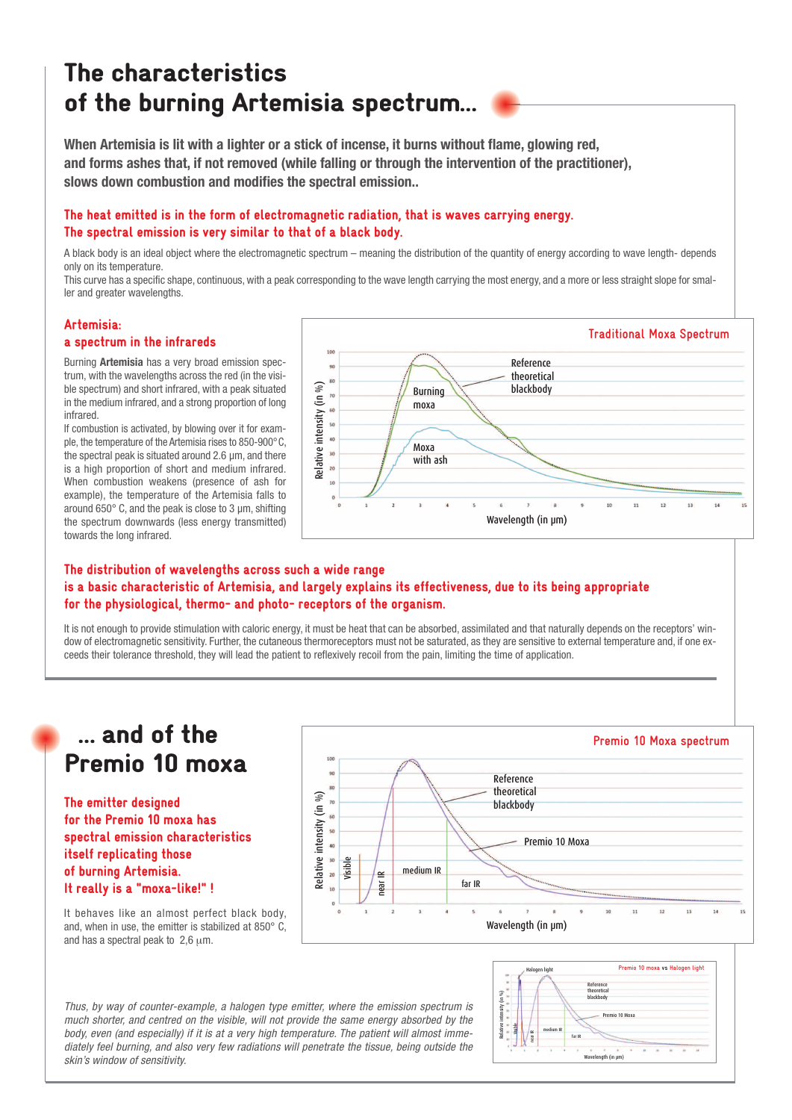## The characteristics of the burning Artemisia spectrum…

**When Artemisia is lit with a lighter or a stick of incense, it burns without flame, glowing red, and forms ashes that, if not removed (while falling or through the intervention of the practitioner), slows down combustion and modifies the spectral emission..**

#### The heat emitted is in the form of electromagnetic radiation, that is waves carrying energy. The spectral emission is very similar to that of a black body.

A black body is an ideal object where the electromagnetic spectrum – meaning the distribution of the quantity of energy according to wave length- depends only on its temperature.

This curve has a specific shape, continuous, with a peak corresponding to the wave length carrying the most energy, and a more or less straight slope for smaller and greater wavelengths.

#### Artemisia:

#### a spectrum in the infrareds

Burning **Artemisia** has a very broad emission spectrum, with the wavelengths across the red (in the visible spectrum) and short infrared, with a peak situated in the medium infrared, and a strong proportion of long infrared.

If combustion is activated, by blowing over it for example, the temperature of the Artemisia rises to 850-900°C, the spectral peak is situated around 2.6 µm, and there is a high proportion of short and medium infrared. When combustion weakens (presence of ash for example), the temperature of the Artemisia falls to around 650° C, and the peak is close to 3 µm, shifting the spectrum downwards (less energy transmitted) towards the long infrared.



#### The distribution of wavelengths across such a wide range is a basic characteristic of Artemisia, and largely explains its effectiveness, due to its being appropriate for the physiological, thermo- and photo- receptors of the organism.

It is not enough to provide stimulation with caloric energy, it must be heat that can be absorbed, assimilated and that naturally depends on the receptors' window of electromagnetic sensitivity. Further, the cutaneous thermoreceptors must not be saturated, as they are sensitive to external temperature and, if one exceeds their tolerance threshold, they will lead the patient to reflexively recoil from the pain, limiting the time of application.

## … and of the Premio 10 moxa

The emitter designed for the Premio 10 moxa has spectral emission characteristics itself replicating those of burning Artemisia. It really is a "moxa-like!" !



It behaves like an almost perfect black body, and, when in use, the emitter is stabilized at 850° C, and has a spectral peak to  $2.6 \mu m$ .

*Thus, by way of counter-example, a halogen type emitter, where the emission spectrum is much shorter, and centred on the visible, will not provide the same energy absorbed by the body, even (and especially) if it is at a very high temperature. The patient will almost immediately feel burning, and also very few radiations will penetrate the tissue, being outside the skin's window of sensitivity.*